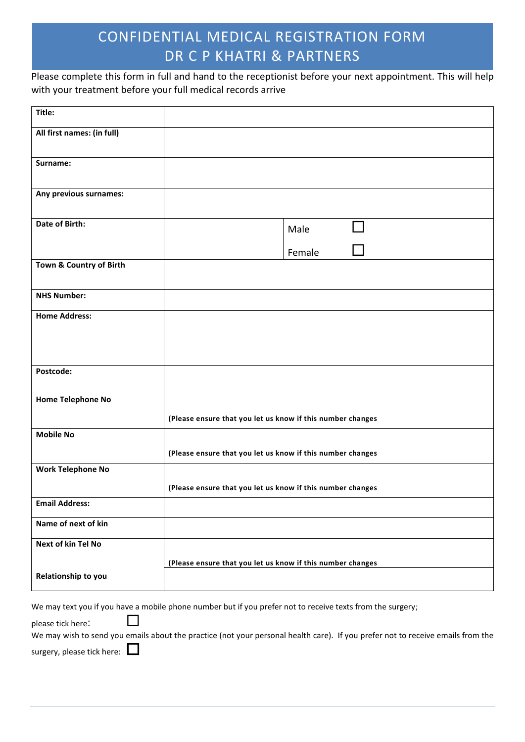Please complete this form in full and hand to the receptionist before your next appointment. This will help with your treatment before your full medical records arrive

| Title:                     |                                                                                                                                 |
|----------------------------|---------------------------------------------------------------------------------------------------------------------------------|
| All first names: (in full) |                                                                                                                                 |
| Surname:                   |                                                                                                                                 |
|                            |                                                                                                                                 |
| Any previous surnames:     |                                                                                                                                 |
| <b>Date of Birth:</b>      | Male                                                                                                                            |
|                            |                                                                                                                                 |
| Town & Country of Birth    | Female                                                                                                                          |
|                            |                                                                                                                                 |
| <b>NHS Number:</b>         |                                                                                                                                 |
| <b>Home Address:</b>       |                                                                                                                                 |
|                            |                                                                                                                                 |
|                            |                                                                                                                                 |
| Postcode:                  |                                                                                                                                 |
| Home Telephone No          |                                                                                                                                 |
|                            | (Please ensure that you let us know if this number changes                                                                      |
| <b>Mobile No</b>           |                                                                                                                                 |
|                            | (Please ensure that you let us know if this number changes                                                                      |
| <b>Work Telephone No</b>   |                                                                                                                                 |
|                            | (Please ensure that you let us know if this number changes                                                                      |
| <b>Email Address:</b>      |                                                                                                                                 |
| Name of next of kin        |                                                                                                                                 |
| <b>Next of kin Tel No</b>  |                                                                                                                                 |
|                            | (Please ensure that you let us know if this number changes                                                                      |
| Relationship to you        |                                                                                                                                 |
|                            | We may text you if you have a mobile phone number but if you prefer not to receive texts from the surgery;                      |
| please tick here:          |                                                                                                                                 |
|                            | We may wish to send you emails about the practice (not your personal health care). If you prefer not to receive emails from the |

surgery, please tick here:  $\Box$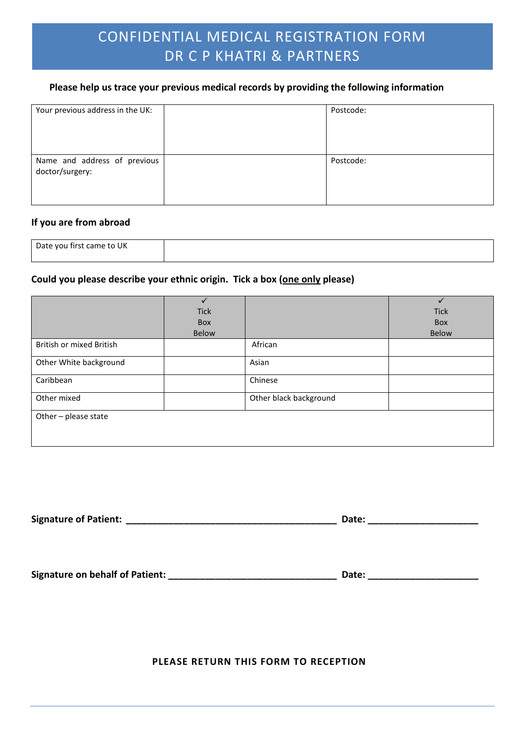### **Please help us trace your previous medical records by providing the following information**

| Your previous address in the UK:                | Postcode: |
|-------------------------------------------------|-----------|
| Name and address of previous<br>doctor/surgery: | Postcode: |

#### **If you are from abroad**

| - 117<br>Date you<br>$\sim$<br>a.<br>ι٣<br>.O<br>.<br>UN<br>--<br>$\sim$ |  |
|--------------------------------------------------------------------------|--|
|                                                                          |  |

### **Could you please describe your ethnic origin. Tick a box (one only please)**

|                                 |              |                        | $\checkmark$ |
|---------------------------------|--------------|------------------------|--------------|
|                                 | <b>Tick</b>  |                        | <b>Tick</b>  |
|                                 | Box          |                        | Box          |
|                                 | <b>Below</b> |                        | <b>Below</b> |
| <b>British or mixed British</b> |              | African                |              |
| Other White background          |              | Asian                  |              |
| Caribbean                       |              | Chinese                |              |
| Other mixed                     |              | Other black background |              |
| Other - please state            |              |                        |              |

**Signature of Patient: \_\_\_\_\_\_\_\_\_\_\_\_\_\_\_\_\_\_\_\_\_\_\_\_\_\_\_\_\_\_\_\_\_\_\_\_\_\_\_\_ Date: \_\_\_\_\_\_\_\_\_\_\_\_\_\_\_\_\_\_\_\_\_**

**Signature on behalf of Patient: \_\_\_\_\_\_\_\_\_\_\_\_\_\_\_\_\_\_\_\_\_\_\_\_\_\_\_\_\_\_\_\_ Date: \_\_\_\_\_\_\_\_\_\_\_\_\_\_\_\_\_\_\_\_\_**

**PLEASE RETURN THIS FORM TO RECEPTION**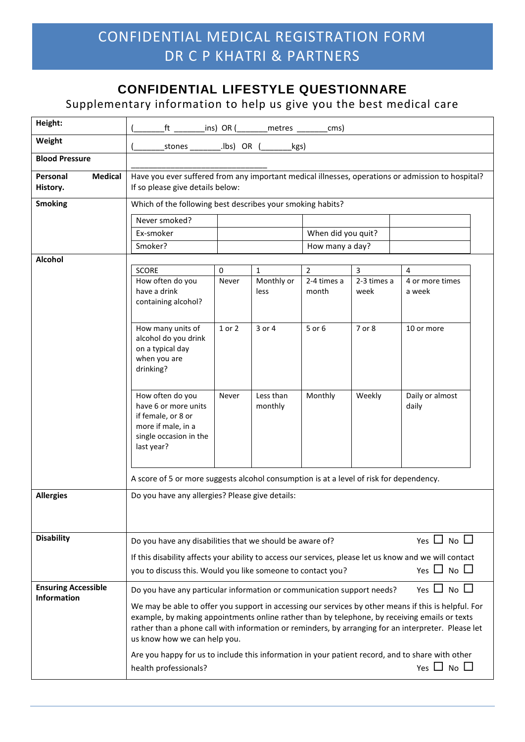## **CONFIDENTIAL LIFESTYLE QUESTIONNARE**

## Supplementary information to help us give you the best medical care

| Height:                                          |                                                                                                                                                                                                                                                                                                                                              |            | ft __________ins) OR (_________metres _______ | cms)                 |                     |                           |
|--------------------------------------------------|----------------------------------------------------------------------------------------------------------------------------------------------------------------------------------------------------------------------------------------------------------------------------------------------------------------------------------------------|------------|-----------------------------------------------|----------------------|---------------------|---------------------------|
| Weight                                           | stones                                                                                                                                                                                                                                                                                                                                       | .lbs) OR ( | kgs)                                          |                      |                     |                           |
| <b>Blood Pressure</b>                            |                                                                                                                                                                                                                                                                                                                                              |            |                                               |                      |                     |                           |
| <b>Medical</b><br>Personal<br>History.           | Have you ever suffered from any important medical illnesses, operations or admission to hospital?<br>If so please give details below:                                                                                                                                                                                                        |            |                                               |                      |                     |                           |
| <b>Smoking</b>                                   | Which of the following best describes your smoking habits?                                                                                                                                                                                                                                                                                   |            |                                               |                      |                     |                           |
|                                                  | Never smoked?                                                                                                                                                                                                                                                                                                                                |            |                                               |                      |                     |                           |
|                                                  | Ex-smoker                                                                                                                                                                                                                                                                                                                                    |            |                                               | When did you quit?   |                     |                           |
|                                                  | Smoker?                                                                                                                                                                                                                                                                                                                                      |            |                                               | How many a day?      |                     |                           |
| <b>Alcohol</b>                                   | <b>SCORE</b>                                                                                                                                                                                                                                                                                                                                 | 0          | $\mathbf{1}$                                  | $\overline{2}$       | $\overline{3}$      | 4                         |
|                                                  | How often do you<br>have a drink<br>containing alcohol?                                                                                                                                                                                                                                                                                      | Never      | Monthly or<br>less                            | 2-4 times a<br>month | 2-3 times a<br>week | 4 or more times<br>a week |
|                                                  | How many units of<br>alcohol do you drink<br>on a typical day<br>when you are<br>drinking?                                                                                                                                                                                                                                                   | 1 or 2     | 3 or 4                                        | 5 or 6               | 7 or 8              | 10 or more                |
|                                                  | How often do you<br>have 6 or more units<br>if female, or 8 or<br>more if male, in a<br>single occasion in the<br>last year?                                                                                                                                                                                                                 | Never      | Less than<br>monthly                          | Monthly              | Weekly              | Daily or almost<br>daily  |
|                                                  | A score of 5 or more suggests alcohol consumption is at a level of risk for dependency.                                                                                                                                                                                                                                                      |            |                                               |                      |                     |                           |
| <b>Allergies</b>                                 | Do you have any allergies? Please give details:                                                                                                                                                                                                                                                                                              |            |                                               |                      |                     |                           |
| <b>Disability</b>                                | Do you have any disabilities that we should be aware of?                                                                                                                                                                                                                                                                                     |            |                                               |                      |                     | Yes $\Box$ No $\Box$      |
|                                                  | If this disability affects your ability to access our services, please let us know and we will contact<br>Yes $\Box$ No $\Box$<br>you to discuss this. Would you like someone to contact you?                                                                                                                                                |            |                                               |                      |                     |                           |
| <b>Ensuring Accessible</b><br><b>Information</b> | Do you have any particular information or communication support needs?                                                                                                                                                                                                                                                                       |            |                                               |                      |                     | Yes $\Box$ No $\Box$      |
|                                                  | We may be able to offer you support in accessing our services by other means if this is helpful. For<br>example, by making appointments online rather than by telephone, by receiving emails or texts<br>rather than a phone call with information or reminders, by arranging for an interpreter. Please let<br>us know how we can help you. |            |                                               |                      |                     |                           |
|                                                  | Are you happy for us to include this information in your patient record, and to share with other<br>health professionals?                                                                                                                                                                                                                    |            |                                               |                      |                     | Yes $\Box$ No $\Box$      |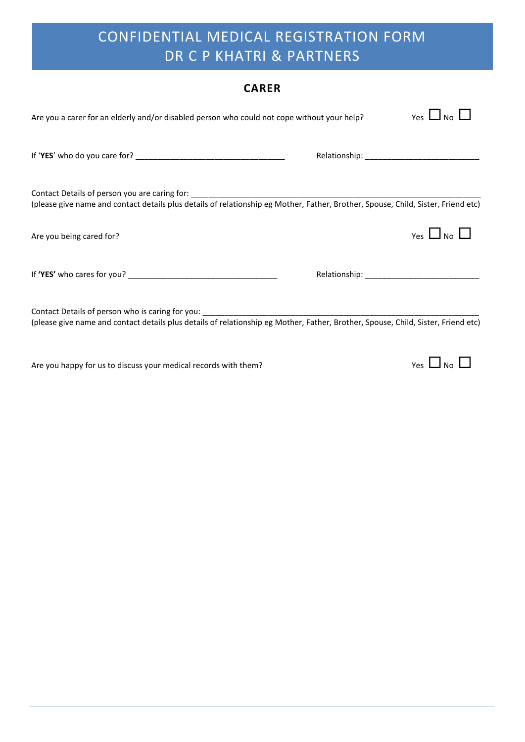| <b>CARER</b>                                                                                                                      |  |                      |  |  |
|-----------------------------------------------------------------------------------------------------------------------------------|--|----------------------|--|--|
| Are you a carer for an elderly and/or disabled person who could not cope without your help?                                       |  | Yes $\Box$ No $\Box$ |  |  |
|                                                                                                                                   |  |                      |  |  |
| (please give name and contact details plus details of relationship eg Mother, Father, Brother, Spouse, Child, Sister, Friend etc) |  |                      |  |  |
| Are you being cared for?                                                                                                          |  | Yes $\Box$ No $\Box$ |  |  |
|                                                                                                                                   |  |                      |  |  |
| (please give name and contact details plus details of relationship eg Mother, Father, Brother, Spouse, Child, Sister, Friend etc) |  |                      |  |  |

Are you happy for us to discuss your medical records with them?<br>  $Yes$  No  $\Box$  No

### **CARER**